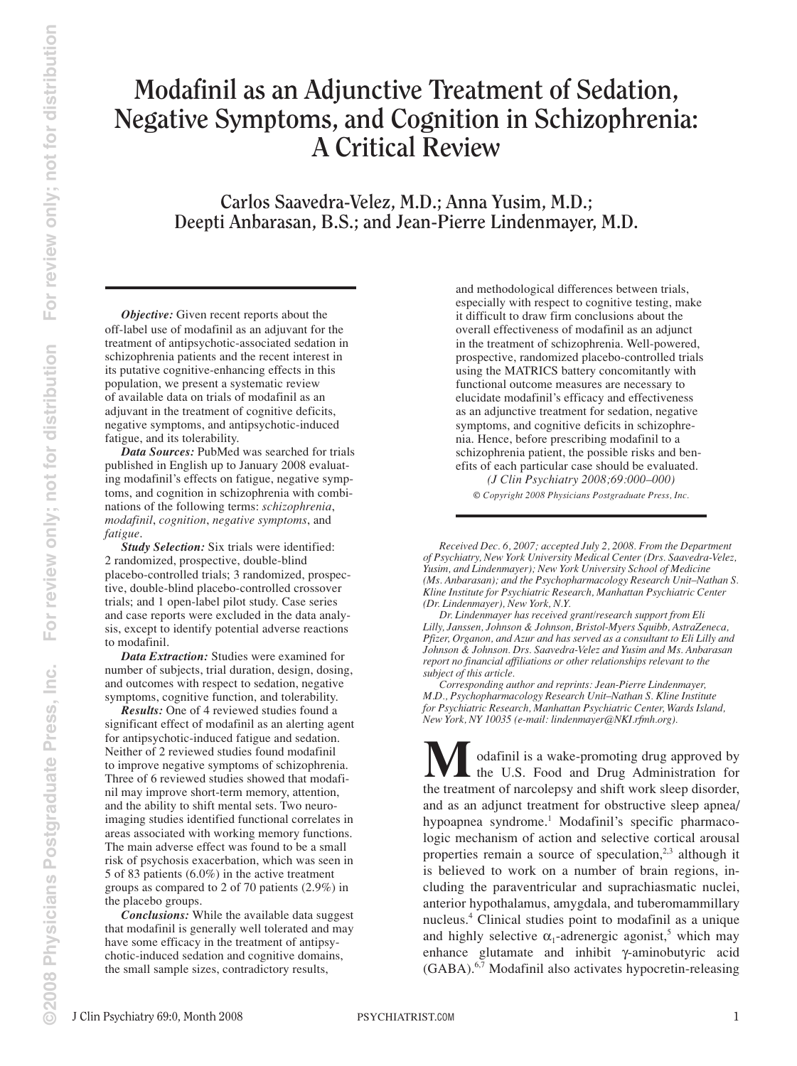# **Modafinil as an Adjunctive Treatment of Sedation, Negative Symptoms, and Cognition in Schizophrenia: A Critical Review**

**Carlos Saavedra-Velez, M.D.; Anna Yusim, M.D.; Deepti Anbarasan, B.S.; and Jean-Pierre Lindenmayer, M.D.**

*Objective:* Given recent reports about the off-label use of modafinil as an adjuvant for the treatment of antipsychotic-associated sedation in schizophrenia patients and the recent interest in its putative cognitive-enhancing effects in this population, we present a systematic review of available data on trials of modafinil as an adjuvant in the treatment of cognitive deficits, negative symptoms, and antipsychotic-induced fatigue, and its tolerability.

*Data Sources:* PubMed was searched for trials published in English up to January 2008 evaluating modafinil's effects on fatigue, negative symptoms, and cognition in schizophrenia with combinations of the following terms: *schizophrenia*, *modafinil*, *cognition*, *negative symptoms*, and *fatigue*.

*Study Selection:* Six trials were identified: 2 randomized, prospective, double-blind placebo-controlled trials; 3 randomized, prospective, double-blind placebo-controlled crossover trials; and 1 open-label pilot study. Case series and case reports were excluded in the data analysis, except to identify potential adverse reactions to modafinil.

*Data Extraction:* Studies were examined for number of subjects, trial duration, design, dosing, and outcomes with respect to sedation, negative symptoms, cognitive function, and tolerability.

*Results:* One of 4 reviewed studies found a significant effect of modafinil as an alerting agent for antipsychotic-induced fatigue and sedation. Neither of 2 reviewed studies found modafinil to improve negative symptoms of schizophrenia. Three of 6 reviewed studies showed that modafinil may improve short-term memory, attention, and the ability to shift mental sets. Two neuroimaging studies identified functional correlates in areas associated with working memory functions. The main adverse effect was found to be a small risk of psychosis exacerbation, which was seen in 5 of 83 patients (6.0%) in the active treatment groups as compared to 2 of 70 patients (2.9%) in the placebo groups.

*Conclusions:* While the available data suggest that modafinil is generally well tolerated and may have some efficacy in the treatment of antipsychotic-induced sedation and cognitive domains, the small sample sizes, contradictory results,

and methodological differences between trials, especially with respect to cognitive testing, make it difficult to draw firm conclusions about the overall effectiveness of modafinil as an adjunct in the treatment of schizophrenia. Well-powered, prospective, randomized placebo-controlled trials using the MATRICS battery concomitantly with functional outcome measures are necessary to elucidate modafinil's efficacy and effectiveness as an adjunctive treatment for sedation, negative symptoms, and cognitive deficits in schizophrenia. Hence, before prescribing modafinil to a schizophrenia patient, the possible risks and benefits of each particular case should be evaluated.

*(J Clin Psychiatry 2008;69:000–000) © Copyright 2008 Physicians Postgraduate Press, Inc.*

*Received Dec. 6, 2007; accepted July 2, 2008. From the Department of Psychiatry, New York University Medical Center (Drs. Saavedra-Velez, Yusim, and Lindenmayer); New York University School of Medicine (Ms. Anbarasan); and the Psychopharmacology Research Unit–Nathan S. Kline Institute for Psychiatric Research, Manhattan Psychiatric Center (Dr. Lindenmayer), New York, N.Y.*

*Dr. Lindenmayer has received grant/research support from Eli Lilly, Janssen, Johnson & Johnson, Bristol-Myers Squibb, AstraZeneca, Pfizer, Organon, and Azur and has served as a consultant to Eli Lilly and Johnson & Johnson. Drs. Saavedra-Velez and Yusim and Ms. Anbarasan report no financial affiliations or other relationships relevant to the subject of this article.*

*Corresponding author and reprints: Jean-Pierre Lindenmayer, M.D., Psychopharmacology Research Unit–Nathan S. Kline Institute for Psychiatric Research, Manhattan Psychiatric Center, Wards Island, New York, NY 10035 (e-mail: lindenmayer@NKI.rfmh.org).*

**M** odafinil is a wake-promoting drug approved by the U.S. Food and Drug Administration for the treatment of narcolepsy and shift work sleep disorder, and as an adjunct treatment for obstructive sleep apnea/ hypoapnea syndrome.<sup>1</sup> Modafinil's specific pharmacologic mechanism of action and selective cortical arousal properties remain a source of speculation, $2,3$  although it is believed to work on a number of brain regions, including the paraventricular and suprachiasmatic nuclei, anterior hypothalamus, amygdala, and tuberomammillary nucleus.4 Clinical studies point to modafinil as a unique and highly selective  $\alpha_1$ -adrenergic agonist,<sup>5</sup> which may enhance glutamate and inhibit γ-aminobutyric acid (GABA).6,7 Modafinil also activates hypocretin-releasing odafinil is a wake-promoting drug approved by the U.S. Food and Drug Administration for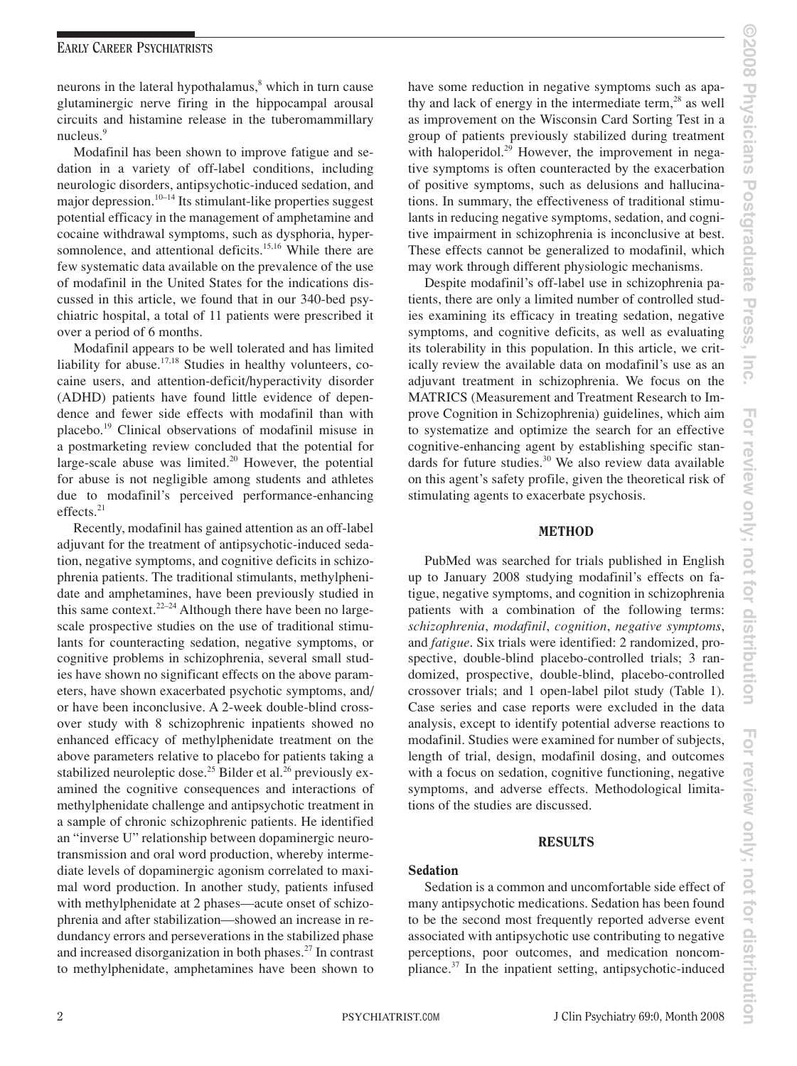neurons in the lateral hypothalamus, $\delta$  which in turn cause glutaminergic nerve firing in the hippocampal arousal circuits and histamine release in the tuberomammillary nucleus.<sup>9</sup>

Modafinil has been shown to improve fatigue and sedation in a variety of off-label conditions, including neurologic disorders, antipsychotic-induced sedation, and major depression.<sup>10–14</sup> Its stimulant-like properties suggest potential efficacy in the management of amphetamine and cocaine withdrawal symptoms, such as dysphoria, hypersomnolence, and attentional deficits.<sup>15,16</sup> While there are few systematic data available on the prevalence of the use of modafinil in the United States for the indications discussed in this article, we found that in our 340-bed psychiatric hospital, a total of 11 patients were prescribed it over a period of 6 months.

Modafinil appears to be well tolerated and has limited liability for abuse.<sup>17,18</sup> Studies in healthy volunteers, cocaine users, and attention-deficit/hyperactivity disorder (ADHD) patients have found little evidence of dependence and fewer side effects with modafinil than with placebo.19 Clinical observations of modafinil misuse in a postmarketing review concluded that the potential for large-scale abuse was limited. $20$  However, the potential for abuse is not negligible among students and athletes due to modafinil's perceived performance-enhancing effects. $21$ 

Recently, modafinil has gained attention as an off-label adjuvant for the treatment of antipsychotic-induced sedation, negative symptoms, and cognitive deficits in schizophrenia patients. The traditional stimulants, methylphenidate and amphetamines, have been previously studied in this same context.<sup>22–24</sup> Although there have been no largescale prospective studies on the use of traditional stimulants for counteracting sedation, negative symptoms, or cognitive problems in schizophrenia, several small studies have shown no significant effects on the above parameters, have shown exacerbated psychotic symptoms, and/ or have been inconclusive. A 2-week double-blind crossover study with 8 schizophrenic inpatients showed no enhanced efficacy of methylphenidate treatment on the above parameters relative to placebo for patients taking a stabilized neuroleptic dose.<sup>25</sup> Bilder et al.<sup>26</sup> previously examined the cognitive consequences and interactions of methylphenidate challenge and antipsychotic treatment in a sample of chronic schizophrenic patients. He identified an "inverse U" relationship between dopaminergic neurotransmission and oral word production, whereby intermediate levels of dopaminergic agonism correlated to maximal word production. In another study, patients infused with methylphenidate at 2 phases—acute onset of schizophrenia and after stabilization—showed an increase in redundancy errors and perseverations in the stabilized phase and increased disorganization in both phases.<sup>27</sup> In contrast to methylphenidate, amphetamines have been shown to have some reduction in negative symptoms such as apathy and lack of energy in the intermediate term, $^{28}$  as well as improvement on the Wisconsin Card Sorting Test in a group of patients previously stabilized during treatment with haloperidol.<sup>29</sup> However, the improvement in negative symptoms is often counteracted by the exacerbation of positive symptoms, such as delusions and hallucinations. In summary, the effectiveness of traditional stimulants in reducing negative symptoms, sedation, and cognitive impairment in schizophrenia is inconclusive at best. These effects cannot be generalized to modafinil, which may work through different physiologic mechanisms.

Despite modafinil's off-label use in schizophrenia patients, there are only a limited number of controlled studies examining its efficacy in treating sedation, negative symptoms, and cognitive deficits, as well as evaluating its tolerability in this population. In this article, we critically review the available data on modafinil's use as an adjuvant treatment in schizophrenia. We focus on the MATRICS (Measurement and Treatment Research to Improve Cognition in Schizophrenia) guidelines, which aim to systematize and optimize the search for an effective cognitive-enhancing agent by establishing specific standards for future studies. $30$  We also review data available on this agent's safety profile, given the theoretical risk of stimulating agents to exacerbate psychosis.

#### METHOD

PubMed was searched for trials published in English up to January 2008 studying modafinil's effects on fatigue, negative symptoms, and cognition in schizophrenia patients with a combination of the following terms: *schizophrenia*, *modafinil*, *cognition*, *negative symptoms*, and *fatigue*. Six trials were identified: 2 randomized, prospective, double-blind placebo-controlled trials; 3 randomized, prospective, double-blind, placebo-controlled crossover trials; and 1 open-label pilot study (Table 1). Case series and case reports were excluded in the data analysis, except to identify potential adverse reactions to modafinil. Studies were examined for number of subjects, length of trial, design, modafinil dosing, and outcomes with a focus on sedation, cognitive functioning, negative symptoms, and adverse effects. Methodological limitations of the studies are discussed.

# RESULTS

#### Sedation

Sedation is a common and uncomfortable side effect of many antipsychotic medications. Sedation has been found to be the second most frequently reported adverse event associated with antipsychotic use contributing to negative perceptions, poor outcomes, and medication noncompliance.<sup>37</sup> In the inpatient setting, antipsychotic-induced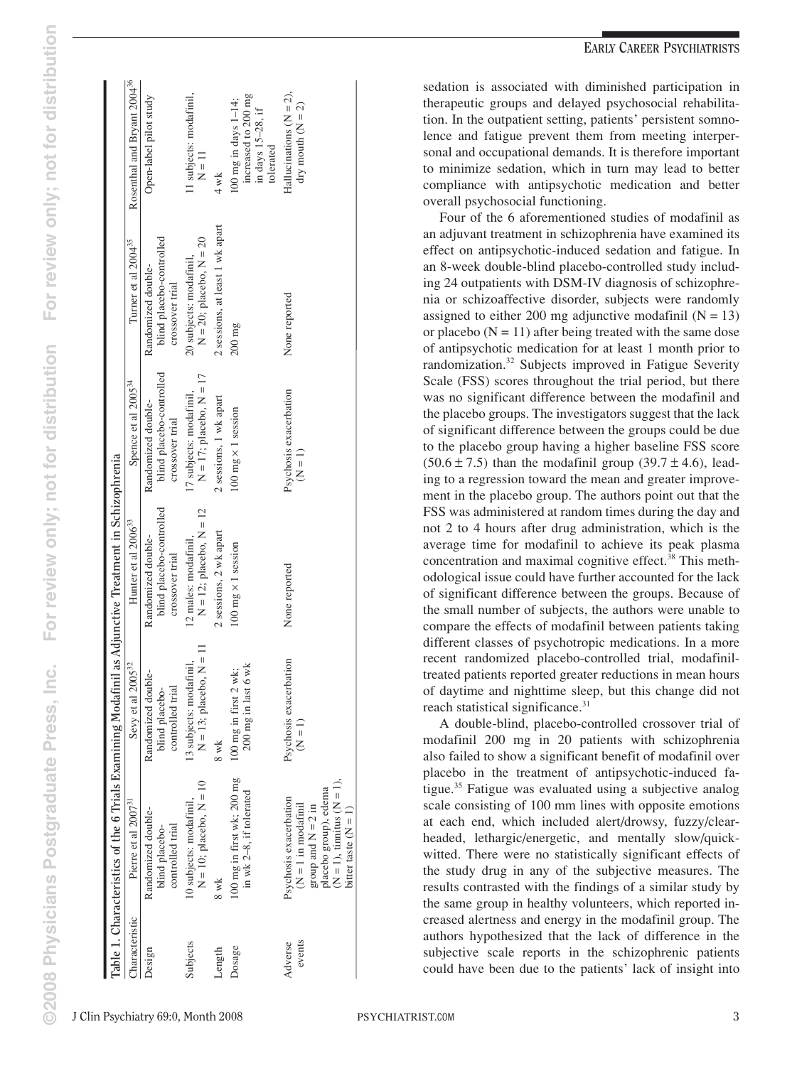©2008 Physicians Postgraduate Press, Inc. For review only; not for distribution For review only; not for distribution 2008 Physicians Postgraduate Press, Inc. For review only; not for distribution For review only; not for distribution

**EARLY CAREER PSYCHIATRISTS**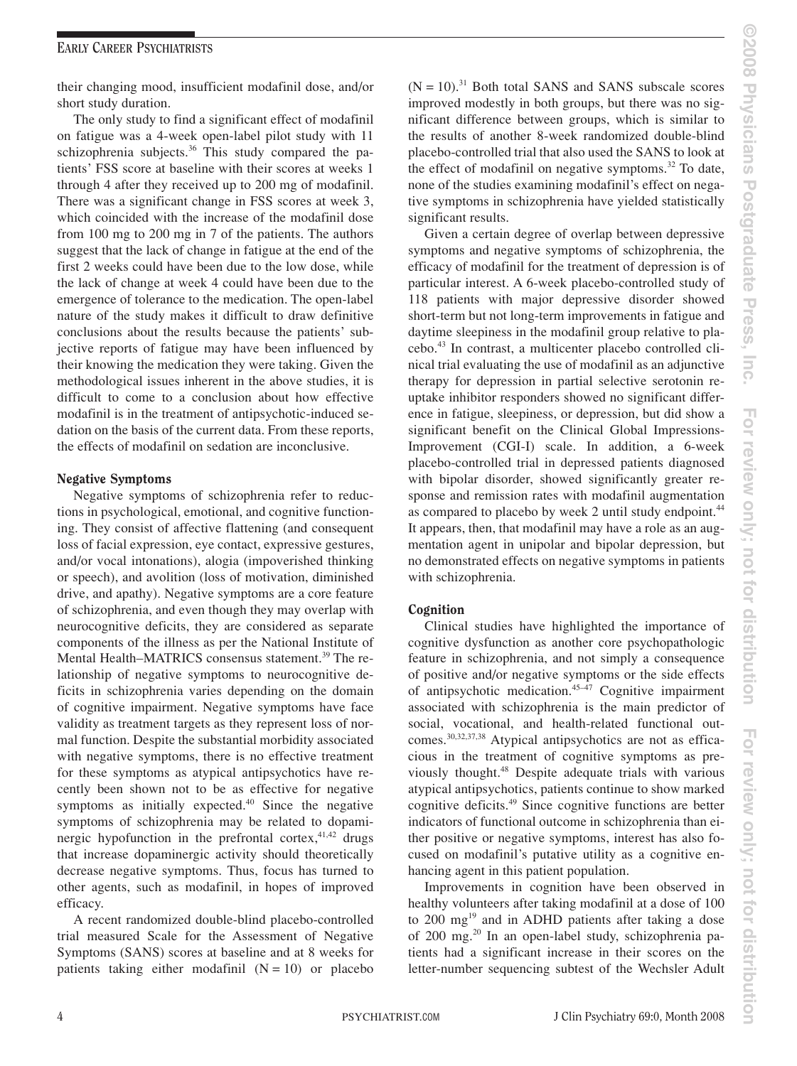their changing mood, insufficient modafinil dose, and/or short study duration.

The only study to find a significant effect of modafinil on fatigue was a 4-week open-label pilot study with 11 schizophrenia subjects. $36$  This study compared the patients' FSS score at baseline with their scores at weeks 1 through 4 after they received up to 200 mg of modafinil. There was a significant change in FSS scores at week 3, which coincided with the increase of the modafinil dose from 100 mg to 200 mg in 7 of the patients. The authors suggest that the lack of change in fatigue at the end of the first 2 weeks could have been due to the low dose, while the lack of change at week 4 could have been due to the emergence of tolerance to the medication. The open-label nature of the study makes it difficult to draw definitive conclusions about the results because the patients' subjective reports of fatigue may have been influenced by their knowing the medication they were taking. Given the methodological issues inherent in the above studies, it is difficult to come to a conclusion about how effective modafinil is in the treatment of antipsychotic-induced sedation on the basis of the current data. From these reports, the effects of modafinil on sedation are inconclusive.

## Negative Symptoms

Negative symptoms of schizophrenia refer to reductions in psychological, emotional, and cognitive functioning. They consist of affective flattening (and consequent loss of facial expression, eye contact, expressive gestures, and/or vocal intonations), alogia (impoverished thinking or speech), and avolition (loss of motivation, diminished drive, and apathy). Negative symptoms are a core feature of schizophrenia, and even though they may overlap with neurocognitive deficits, they are considered as separate components of the illness as per the National Institute of Mental Health–MATRICS consensus statement.<sup>39</sup> The relationship of negative symptoms to neurocognitive deficits in schizophrenia varies depending on the domain of cognitive impairment. Negative symptoms have face validity as treatment targets as they represent loss of normal function. Despite the substantial morbidity associated with negative symptoms, there is no effective treatment for these symptoms as atypical antipsychotics have recently been shown not to be as effective for negative symptoms as initially expected. $40$  Since the negative symptoms of schizophrenia may be related to dopaminergic hypofunction in the prefrontal cortex,  $41,42$  drugs that increase dopaminergic activity should theoretically decrease negative symptoms. Thus, focus has turned to other agents, such as modafinil, in hopes of improved efficacy.

A recent randomized double-blind placebo-controlled trial measured Scale for the Assessment of Negative Symptoms (SANS) scores at baseline and at 8 weeks for patients taking either modafinil  $(N = 10)$  or placebo

 $(N = 10).$ <sup>31</sup> Both total SANS and SANS subscale scores improved modestly in both groups, but there was no significant difference between groups, which is similar to the results of another 8-week randomized double-blind placebo-controlled trial that also used the SANS to look at the effect of modafinil on negative symptoms. $32$  To date, none of the studies examining modafinil's effect on negative symptoms in schizophrenia have yielded statistically significant results.

Given a certain degree of overlap between depressive symptoms and negative symptoms of schizophrenia, the efficacy of modafinil for the treatment of depression is of particular interest. A 6-week placebo-controlled study of 118 patients with major depressive disorder showed short-term but not long-term improvements in fatigue and daytime sleepiness in the modafinil group relative to placebo.43 In contrast, a multicenter placebo controlled clinical trial evaluating the use of modafinil as an adjunctive therapy for depression in partial selective serotonin reuptake inhibitor responders showed no significant difference in fatigue, sleepiness, or depression, but did show a significant benefit on the Clinical Global Impressions-Improvement (CGI-I) scale. In addition, a 6-week placebo-controlled trial in depressed patients diagnosed with bipolar disorder, showed significantly greater response and remission rates with modafinil augmentation as compared to placebo by week 2 until study endpoint.<sup>44</sup> It appears, then, that modafinil may have a role as an augmentation agent in unipolar and bipolar depression, but no demonstrated effects on negative symptoms in patients with schizophrenia.

## Cognition

Clinical studies have highlighted the importance of cognitive dysfunction as another core psychopathologic feature in schizophrenia, and not simply a consequence of positive and/or negative symptoms or the side effects of antipsychotic medication.<sup>45–47</sup> Cognitive impairment associated with schizophrenia is the main predictor of social, vocational, and health-related functional outcomes.30,32,37,38 Atypical antipsychotics are not as efficacious in the treatment of cognitive symptoms as previously thought.<sup>48</sup> Despite adequate trials with various atypical antipsychotics, patients continue to show marked cognitive deficits.<sup>49</sup> Since cognitive functions are better indicators of functional outcome in schizophrenia than either positive or negative symptoms, interest has also focused on modafinil's putative utility as a cognitive enhancing agent in this patient population.

Improvements in cognition have been observed in healthy volunteers after taking modafinil at a dose of 100 to  $200 \text{ mg}^{19}$  and in ADHD patients after taking a dose of 200 mg.<sup>20</sup> In an open-label study, schizophrenia patients had a significant increase in their scores on the letter-number sequencing subtest of the Wechsler Adult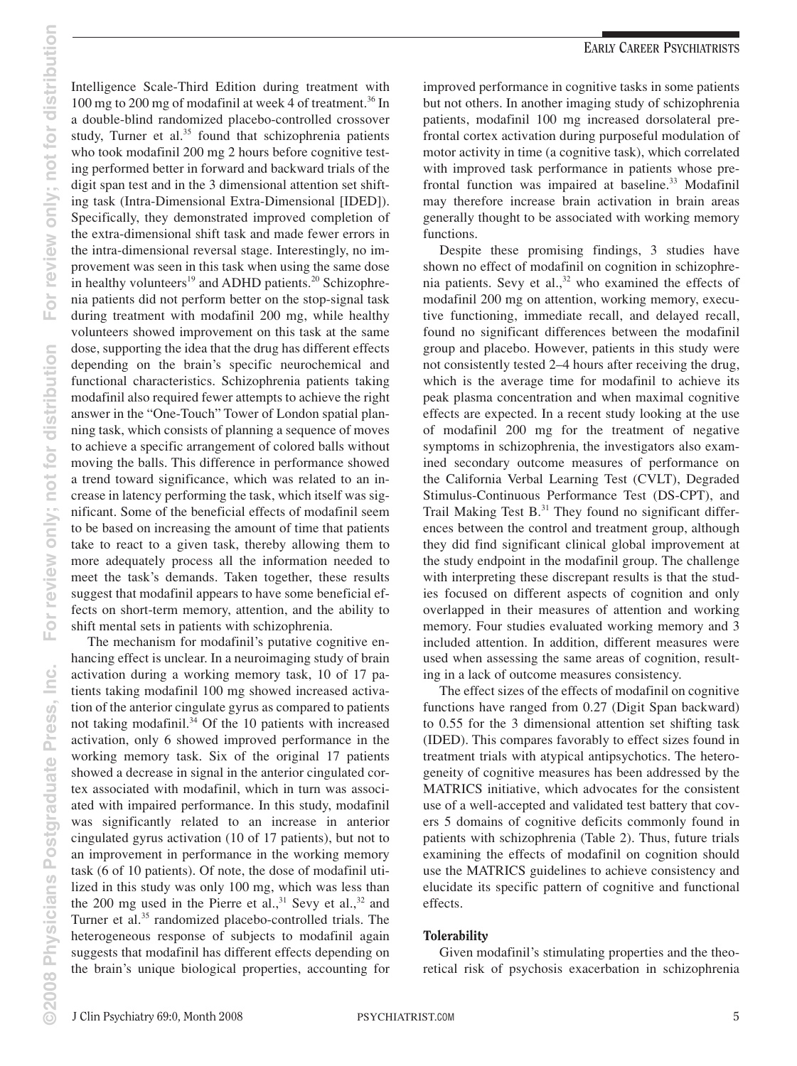100 mg to 200 mg of modafinil at week 4 of treatment.<sup>36</sup> In a double-blind randomized placebo-controlled crossover study, Turner et al. $35$  found that schizophrenia patients who took modafinil 200 mg 2 hours before cognitive testing performed better in forward and backward trials of the digit span test and in the 3 dimensional attention set shifting task (Intra-Dimensional Extra-Dimensional [IDED]). Specifically, they demonstrated improved completion of the extra-dimensional shift task and made fewer errors in the intra-dimensional reversal stage. Interestingly, no improvement was seen in this task when using the same dose functions.

**Example 11**<br>
<br>
Altingence: Scale-Third Edition during treatment with<br>
10 (10 mg to 200 mg of modalinil at week 4 of treatment.<sup>32</sup> In<br>
110 mg to 200 mg of modalinil at week 4 of treatment.<sup>32</sup> In<br>
110 mg to 200 mg of mod in healthy volunteers<sup>19</sup> and ADHD patients.<sup>20</sup> Schizophrenia patients did not perform better on the stop-signal task during treatment with modafinil 200 mg, while healthy volunteers showed improvement on this task at the same dose, supporting the idea that the drug has different effects depending on the brain's specific neurochemical and functional characteristics. Schizophrenia patients taking modafinil also required fewer attempts to achieve the right answer in the "One-Touch" Tower of London spatial planning task, which consists of planning a sequence of moves to achieve a specific arrangement of colored balls without moving the balls. This difference in performance showed a trend toward significance, which was related to an increase in latency performing the task, which itself was significant. Some of the beneficial effects of modafinil seem to be based on increasing the amount of time that patients take to react to a given task, thereby allowing them to more adequately process all the information needed to meet the task's demands. Taken together, these results suggest that modafinil appears to have some beneficial effects on short-term memory, attention, and the ability to shift mental sets in patients with schizophrenia.

The mechanism for modafinil's putative cognitive enhancing effect is unclear. In a neuroimaging study of brain activation during a working memory task, 10 of 17 patients taking modafinil 100 mg showed increased activation of the anterior cingulate gyrus as compared to patients not taking modafinil.<sup>34</sup> Of the 10 patients with increased activation, only 6 showed improved performance in the working memory task. Six of the original 17 patients showed a decrease in signal in the anterior cingulated cortex associated with modafinil, which in turn was associated with impaired performance. In this study, modafinil was significantly related to an increase in anterior cingulated gyrus activation (10 of 17 patients), but not to an improvement in performance in the working memory task (6 of 10 patients). Of note, the dose of modafinil utilized in this study was only 100 mg, which was less than the 200 mg used in the Pierre et al.,  $31$  Sevy et al.,  $32$  and Turner et al.<sup>35</sup> randomized placebo-controlled trials. The heterogeneous response of subjects to modafinil again suggests that modafinil has different effects depending on the brain's unique biological properties, accounting for improved performance in cognitive tasks in some patients but not others. In another imaging study of schizophrenia patients, modafinil 100 mg increased dorsolateral prefrontal cortex activation during purposeful modulation of motor activity in time (a cognitive task), which correlated with improved task performance in patients whose prefrontal function was impaired at baseline.<sup>33</sup> Modafinil may therefore increase brain activation in brain areas generally thought to be associated with working memory

Despite these promising findings, 3 studies have shown no effect of modafinil on cognition in schizophrenia patients. Sevy et al., $32$  who examined the effects of modafinil 200 mg on attention, working memory, executive functioning, immediate recall, and delayed recall, found no significant differences between the modafinil group and placebo. However, patients in this study were not consistently tested 2–4 hours after receiving the drug, which is the average time for modafinil to achieve its peak plasma concentration and when maximal cognitive effects are expected. In a recent study looking at the use of modafinil 200 mg for the treatment of negative symptoms in schizophrenia, the investigators also examined secondary outcome measures of performance on the California Verbal Learning Test (CVLT), Degraded Stimulus-Continuous Performance Test (DS-CPT), and Trail Making Test B.<sup>31</sup> They found no significant differences between the control and treatment group, although they did find significant clinical global improvement at the study endpoint in the modafinil group. The challenge with interpreting these discrepant results is that the studies focused on different aspects of cognition and only overlapped in their measures of attention and working memory. Four studies evaluated working memory and 3 included attention. In addition, different measures were used when assessing the same areas of cognition, resulting in a lack of outcome measures consistency.

The effect sizes of the effects of modafinil on cognitive functions have ranged from 0.27 (Digit Span backward) to 0.55 for the 3 dimensional attention set shifting task (IDED). This compares favorably to effect sizes found in treatment trials with atypical antipsychotics. The heterogeneity of cognitive measures has been addressed by the MATRICS initiative, which advocates for the consistent use of a well-accepted and validated test battery that covers 5 domains of cognitive deficits commonly found in patients with schizophrenia (Table 2). Thus, future trials examining the effects of modafinil on cognition should use the MATRICS guidelines to achieve consistency and elucidate its specific pattern of cognitive and functional effects.

#### **Tolerability**

Given modafinil's stimulating properties and the theoretical risk of psychosis exacerbation in schizophrenia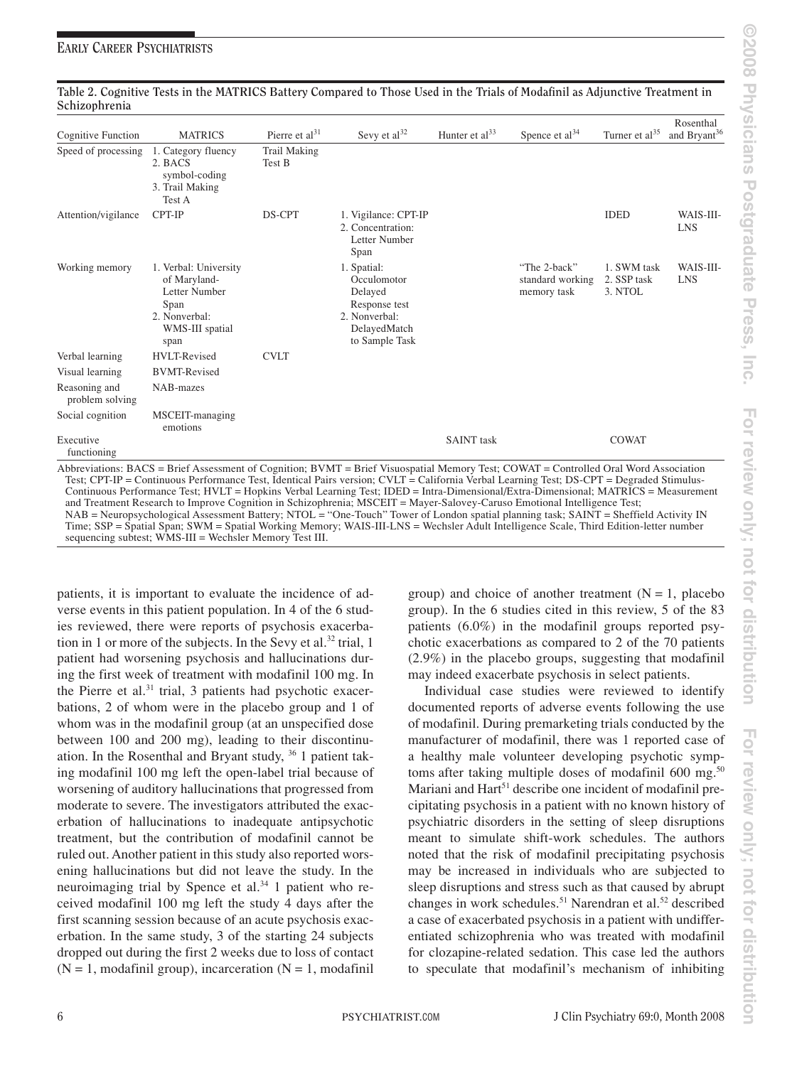| Cognitive Function               | <b>MATRICS</b>                                                                                                                                                                                                                                                                                                                                                                                                                                                                                                                                      | Pierre et al <sup>31</sup>    | Sevy et $al^{32}$                                                                                         | Hunter et $al^{33}$ | Spence et $al34$                                | Turner et $al35$                      | Rosenthal<br>and Bryant <sup>36</sup> |
|----------------------------------|-----------------------------------------------------------------------------------------------------------------------------------------------------------------------------------------------------------------------------------------------------------------------------------------------------------------------------------------------------------------------------------------------------------------------------------------------------------------------------------------------------------------------------------------------------|-------------------------------|-----------------------------------------------------------------------------------------------------------|---------------------|-------------------------------------------------|---------------------------------------|---------------------------------------|
| Speed of processing              | 1. Category fluency<br>2. BACS<br>symbol-coding<br>3. Trail Making<br>Test A                                                                                                                                                                                                                                                                                                                                                                                                                                                                        | <b>Trail Making</b><br>Test B |                                                                                                           |                     |                                                 |                                       |                                       |
| Attention/vigilance              | CPT-IP                                                                                                                                                                                                                                                                                                                                                                                                                                                                                                                                              | DS-CPT                        | 1. Vigilance: CPT-IP<br>2. Concentration:<br>Letter Number<br>Span                                        |                     |                                                 | <b>IDED</b>                           | WAIS-III-<br><b>LNS</b>               |
| Working memory                   | 1. Verbal: University<br>of Maryland-<br>Letter Number<br>Span<br>2. Nonverbal:<br>WMS-III spatial<br>span                                                                                                                                                                                                                                                                                                                                                                                                                                          |                               | 1. Spatial:<br>Occulomotor<br>Delayed<br>Response test<br>2. Nonverbal:<br>DelayedMatch<br>to Sample Task |                     | "The 2-back"<br>standard working<br>memory task | 1. SWM task<br>2. SSP task<br>3. NTOL | WAIS-III-<br><b>LNS</b>               |
| Verbal learning                  | HVLT-Revised                                                                                                                                                                                                                                                                                                                                                                                                                                                                                                                                        | <b>CVLT</b>                   |                                                                                                           |                     |                                                 |                                       |                                       |
| Visual learning                  | <b>BVMT-Revised</b>                                                                                                                                                                                                                                                                                                                                                                                                                                                                                                                                 |                               |                                                                                                           |                     |                                                 |                                       |                                       |
| Reasoning and<br>problem solving | NAB-mazes                                                                                                                                                                                                                                                                                                                                                                                                                                                                                                                                           |                               |                                                                                                           |                     |                                                 |                                       |                                       |
| Social cognition                 | MSCEIT-managing<br>emotions                                                                                                                                                                                                                                                                                                                                                                                                                                                                                                                         |                               |                                                                                                           |                     |                                                 |                                       |                                       |
| Executive<br>functioning         |                                                                                                                                                                                                                                                                                                                                                                                                                                                                                                                                                     |                               |                                                                                                           | <b>SAINT</b> task   |                                                 | <b>COWAT</b>                          |                                       |
|                                  | Abbreviations: BACS = Brief Assessment of Cognition; BVMT = Brief Visuospatial Memory Test; COWAT = Controlled Oral Word Association<br>Test; CPT-IP = Continuous Performance Test, Identical Pairs version; CVLT = California Verbal Learning Test; DS-CPT = Degraded Stimulus-<br>Continuous Performance Test; HVLT = Hopkins Verbal Learning Test; IDED = Intra-Dimensional/Extra-Dimensional; MATRICS = Measurement<br>and Treatment Research to Improve Cognition in Schizophrenia: MSCEIT = Mayer-Salovey-Caruso Emotional Intelligence Test: |                               |                                                                                                           |                     |                                                 |                                       |                                       |

#### **Table 2. Cognitive Tests in the MATRICS Battery Compared to Those Used in the Trials of Modafinil as Adjunctive Treatment in Schizophrenia**

and Treatment Research to Improve Cognition in Schizophrenia; MSCEIT = Mayer-Salovey-Caruso Emotional Intelligence Test; NAB = Neuropsychological Assessment Battery; NTOL = "One-Touch" Tower of London spatial planning task; SAINT = Sheffield Activity IN Time; SSP = Spatial Span; SWM = Spatial Working Memory; WAIS-III-LNS = Wechsler Adult Intelligence Scale, Third Edition-letter number sequencing subtest; WMS-III = Wechsler Memory Test III.

patients, it is important to evaluate the incidence of adverse events in this patient population. In 4 of the 6 studies reviewed, there were reports of psychosis exacerbation in 1 or more of the subjects. In the Sevy et al.<sup>32</sup> trial, 1 patient had worsening psychosis and hallucinations during the first week of treatment with modafinil 100 mg. In the Pierre et al. $31$  trial, 3 patients had psychotic exacerbations, 2 of whom were in the placebo group and 1 of whom was in the modafinil group (at an unspecified dose between 100 and 200 mg), leading to their discontinuation. In the Rosenthal and Bryant study,  $36\frac{1}{1}$  patient taking modafinil 100 mg left the open-label trial because of worsening of auditory hallucinations that progressed from moderate to severe. The investigators attributed the exacerbation of hallucinations to inadequate antipsychotic treatment, but the contribution of modafinil cannot be ruled out. Another patient in this study also reported worsening hallucinations but did not leave the study. In the neuroimaging trial by Spence et al.<sup>34</sup> 1 patient who received modafinil 100 mg left the study 4 days after the first scanning session because of an acute psychosis exacerbation. In the same study, 3 of the starting 24 subjects dropped out during the first 2 weeks due to loss of contact  $(N = 1, \text{ modal}$  group), incarceration  $(N = 1, \text{modal}$ 

group) and choice of another treatment  $(N = 1,$  placebo group). In the 6 studies cited in this review, 5 of the 83 patients (6.0%) in the modafinil groups reported psychotic exacerbations as compared to 2 of the 70 patients (2.9%) in the placebo groups, suggesting that modafinil may indeed exacerbate psychosis in select patients.

Individual case studies were reviewed to identify documented reports of adverse events following the use of modafinil. During premarketing trials conducted by the manufacturer of modafinil, there was 1 reported case of a healthy male volunteer developing psychotic symptoms after taking multiple doses of modafinil  $600 \text{ mg}$ .<sup>50</sup> Mariani and  $\text{Hart}^{51}$  describe one incident of modafinil precipitating psychosis in a patient with no known history of psychiatric disorders in the setting of sleep disruptions meant to simulate shift-work schedules. The authors noted that the risk of modafinil precipitating psychosis may be increased in individuals who are subjected to sleep disruptions and stress such as that caused by abrupt changes in work schedules.<sup>51</sup> Narendran et al.<sup>52</sup> described a case of exacerbated psychosis in a patient with undifferentiated schizophrenia who was treated with modafinil for clozapine-related sedation. This case led the authors to speculate that modafinil's mechanism of inhibiting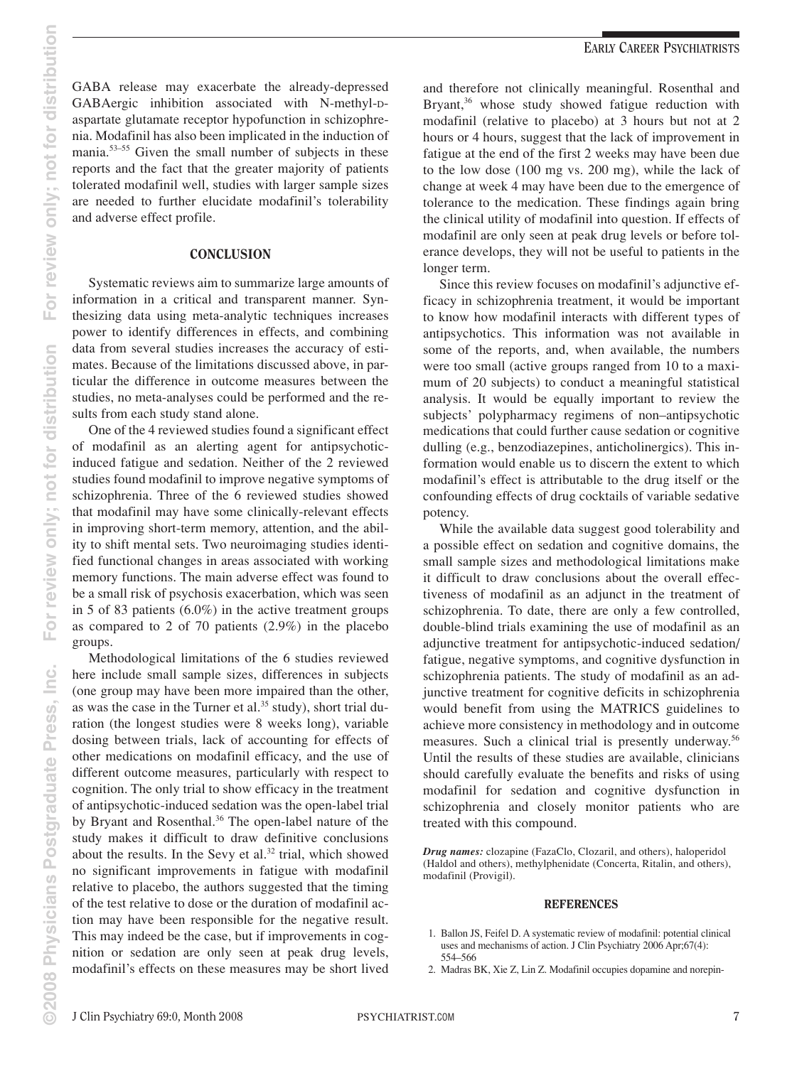GABAergic inhibition associated with N-methyl-Daspartate glutamate receptor hypofunction in schizophrenia. Modafinil has also been implicated in the induction of mania.53–55 Given the small number of subjects in these reports and the fact that the greater majority of patients tolerated modafinil well, studies with larger sample sizes are needed to further elucidate modafinil's tolerability and adverse effect profile.

#### **CONCLUSION**

Systematic reviews aim to summarize large amounts of information in a critical and transparent manner. Synthesizing data using meta-analytic techniques increases power to identify differences in effects, and combining data from several studies increases the accuracy of estimates. Because of the limitations discussed above, in particular the difference in outcome measures between the studies, no meta-analyses could be performed and the results from each study stand alone.

One of the 4 reviewed studies found a significant effect of modafinil as an alerting agent for antipsychoticinduced fatigue and sedation. Neither of the 2 reviewed studies found modafinil to improve negative symptoms of schizophrenia. Three of the 6 reviewed studies showed that modafinil may have some clinically-relevant effects in improving short-term memory, attention, and the ability to shift mental sets. Two neuroimaging studies identified functional changes in areas associated with working memory functions. The main adverse effect was found to be a small risk of psychosis exacerbation, which was seen in 5 of 83 patients (6.0%) in the active treatment groups as compared to 2 of 70 patients (2.9%) in the placebo groups.

**Example 10**<br> **Example 10**<br> **Example 10**<br> **Example 10**<br> **Example 10**<br> **Example 10**<br> **Example 10**<br> **Example 10**<br> **Example 10**<br> **Example 10**<br> **Example 10**<br> **Example 10**<br> **Example 10**<br> **Example 10**<br> **Example 10**<br> **Example 10** Methodological limitations of the 6 studies reviewed here include small sample sizes, differences in subjects (one group may have been more impaired than the other, as was the case in the Turner et al. $35$  study), short trial duration (the longest studies were 8 weeks long), variable dosing between trials, lack of accounting for effects of other medications on modafinil efficacy, and the use of different outcome measures, particularly with respect to cognition. The only trial to show efficacy in the treatment of antipsychotic-induced sedation was the open-label trial by Bryant and Rosenthal.<sup>36</sup> The open-label nature of the study makes it difficult to draw definitive conclusions about the results. In the Sevy et al. $32$  trial, which showed no significant improvements in fatigue with modafinil relative to placebo, the authors suggested that the timing of the test relative to dose or the duration of modafinil action may have been responsible for the negative result. This may indeed be the case, but if improvements in cognition or sedation are only seen at peak drug levels, modafinil's effects on these measures may be short lived

and therefore not clinically meaningful. Rosenthal and Bryant,<sup>36</sup> whose study showed fatigue reduction with modafinil (relative to placebo) at 3 hours but not at 2 hours or 4 hours, suggest that the lack of improvement in fatigue at the end of the first 2 weeks may have been due to the low dose (100 mg vs. 200 mg), while the lack of change at week 4 may have been due to the emergence of tolerance to the medication. These findings again bring the clinical utility of modafinil into question. If effects of modafinil are only seen at peak drug levels or before tolerance develops, they will not be useful to patients in the longer term.

Since this review focuses on modafinil's adjunctive efficacy in schizophrenia treatment, it would be important to know how modafinil interacts with different types of antipsychotics. This information was not available in some of the reports, and, when available, the numbers were too small (active groups ranged from 10 to a maximum of 20 subjects) to conduct a meaningful statistical analysis. It would be equally important to review the subjects' polypharmacy regimens of non–antipsychotic medications that could further cause sedation or cognitive dulling (e.g., benzodiazepines, anticholinergics). This information would enable us to discern the extent to which modafinil's effect is attributable to the drug itself or the confounding effects of drug cocktails of variable sedative potency.

While the available data suggest good tolerability and a possible effect on sedation and cognitive domains, the small sample sizes and methodological limitations make it difficult to draw conclusions about the overall effectiveness of modafinil as an adjunct in the treatment of schizophrenia. To date, there are only a few controlled, double-blind trials examining the use of modafinil as an adjunctive treatment for antipsychotic-induced sedation/ fatigue, negative symptoms, and cognitive dysfunction in schizophrenia patients. The study of modafinil as an adjunctive treatment for cognitive deficits in schizophrenia would benefit from using the MATRICS guidelines to achieve more consistency in methodology and in outcome measures. Such a clinical trial is presently underway.<sup>56</sup> Until the results of these studies are available, clinicians should carefully evaluate the benefits and risks of using modafinil for sedation and cognitive dysfunction in schizophrenia and closely monitor patients who are treated with this compound.

*Drug names:* clozapine (FazaClo, Clozaril, and others), haloperidol (Haldol and others), methylphenidate (Concerta, Ritalin, and others), modafinil (Provigil).

#### **REFERENCES**

- 1. Ballon JS, Feifel D. A systematic review of modafinil: potential clinical uses and mechanisms of action. J Clin Psychiatry 2006 Apr;67(4): 554–566
- 2. Madras BK, Xie Z, Lin Z. Modafinil occupies dopamine and norepin-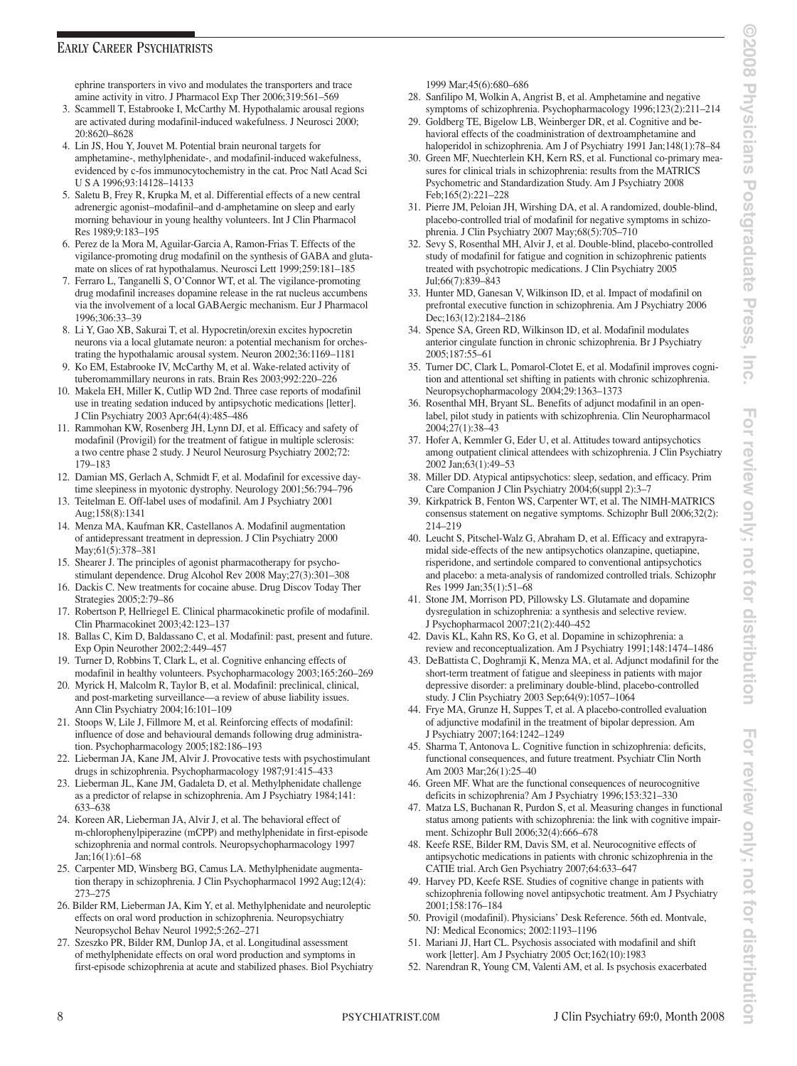# **EARLY CAREER PSYCHIATRISTS**

ephrine transporters in vivo and modulates the transporters and trace amine activity in vitro. J Pharmacol Exp Ther 2006;319:561–569

- 3. Scammell T, Estabrooke I, McCarthy M. Hypothalamic arousal regions are activated during modafinil-induced wakefulness. J Neurosci 2000; 20:8620–8628
- 4. Lin JS, Hou Y, Jouvet M. Potential brain neuronal targets for amphetamine-, methylphenidate-, and modafinil-induced wakefulness, evidenced by c-fos immunocytochemistry in the cat. Proc Natl Acad Sci U S A 1996;93:14128–14133
- 5. Saletu B, Frey R, Krupka M, et al. Differential effects of a new central adrenergic agonist–modafinil–and d-amphetamine on sleep and early morning behaviour in young healthy volunteers. Int J Clin Pharmacol Res 1989;9:183–195
- 6. Perez de la Mora M, Aguilar-Garcia A, Ramon-Frias T. Effects of the vigilance-promoting drug modafinil on the synthesis of GABA and glutamate on slices of rat hypothalamus. Neurosci Lett 1999;259:181–185
- 7. Ferraro L, Tanganelli S, O'Connor WT, et al. The vigilance-promoting drug modafinil increases dopamine release in the rat nucleus accumbens via the involvement of a local GABAergic mechanism. Eur J Pharmacol 1996;306:33–39
- 8. Li Y, Gao XB, Sakurai T, et al. Hypocretin/orexin excites hypocretin neurons via a local glutamate neuron: a potential mechanism for orchestrating the hypothalamic arousal system. Neuron 2002;36:1169–1181
- 9. Ko EM, Estabrooke IV, McCarthy M, et al. Wake-related activity of tuberomammillary neurons in rats. Brain Res 2003;992:220–226
- 10. Makela EH, Miller K, Cutlip WD 2nd. Three case reports of modafinil use in treating sedation induced by antipsychotic medications [letter]. J Clin Psychiatry 2003 Apr;64(4):485–486
- 11. Rammohan KW, Rosenberg JH, Lynn DJ, et al. Efficacy and safety of modafinil (Provigil) for the treatment of fatigue in multiple sclerosis: a two centre phase 2 study. J Neurol Neurosurg Psychiatry 2002;72: 179–183
- 12. Damian MS, Gerlach A, Schmidt F, et al. Modafinil for excessive daytime sleepiness in myotonic dystrophy. Neurology 2001;56:794–796
- 13. Teitelman E. Off-label uses of modafinil. Am J Psychiatry 2001 Aug;158(8):1341
- 14. Menza MA, Kaufman KR, Castellanos A. Modafinil augmentation of antidepressant treatment in depression. J Clin Psychiatry 2000 May;61(5):378–381
- 15. Shearer J. The principles of agonist pharmacotherapy for psychostimulant dependence. Drug Alcohol Rev 2008 May;27(3):301–308
- 16. Dackis C. New treatments for cocaine abuse. Drug Discov Today Ther Strategies 2005;2:79–86
- 17. Robertson P, Hellriegel E. Clinical pharmacokinetic profile of modafinil. Clin Pharmacokinet 2003;42:123–137
- 18. Ballas C, Kim D, Baldassano C, et al. Modafinil: past, present and future. Exp Opin Neurother 2002;2:449–457
- 19. Turner D, Robbins T, Clark L, et al. Cognitive enhancing effects of modafinil in healthy volunteers. Psychopharmacology 2003;165:260–269
- 20. Myrick H, Malcolm R, Taylor B, et al. Modafinil: preclinical, clinical, and post-marketing surveillance—a review of abuse liability issues. Ann Clin Psychiatry 2004;16:101–109
- 21. Stoops W, Lile J, Fillmore M, et al. Reinforcing effects of modafinil: influence of dose and behavioural demands following drug administration. Psychopharmacology 2005;182:186–193
- 22. Lieberman JA, Kane JM, Alvir J. Provocative tests with psychostimulant drugs in schizophrenia. Psychopharmacology 1987;91:415–433
- 23. Lieberman JL, Kane JM, Gadaleta D, et al. Methylphenidate challenge as a predictor of relapse in schizophrenia. Am J Psychiatry 1984;141: 633–638
- 24. Koreen AR, Lieberman JA, Alvir J, et al. The behavioral effect of m-chlorophenylpiperazine (mCPP) and methylphenidate in first-episode schizophrenia and normal controls. Neuropsychopharmacology 1997 Jan;16(1):61–68
- 25. Carpenter MD, Winsberg BG, Camus LA. Methylphenidate augmentation therapy in schizophrenia. J Clin Psychopharmacol 1992 Aug;12(4): 273–275
- 26. Bilder RM, Lieberman JA, Kim Y, et al. Methylphenidate and neuroleptic effects on oral word production in schizophrenia. Neuropsychiatry Neuropsychol Behav Neurol 1992;5:262–271
- 27. Szeszko PR, Bilder RM, Dunlop JA, et al. Longitudinal assessment of methylphenidate effects on oral word production and symptoms in first-episode schizophrenia at acute and stabilized phases. Biol Psychiatry

1999 Mar;45(6):680–686

- 28. Sanfilipo M, Wolkin A, Angrist B, et al. Amphetamine and negative symptoms of schizophrenia. Psychopharmacology 1996;123(2):211–214
- 29. Goldberg TE, Bigelow LB, Weinberger DR, et al. Cognitive and behavioral effects of the coadministration of dextroamphetamine and haloperidol in schizophrenia. Am J of Psychiatry 1991 Jan;148(1):78–84
- 30. Green MF, Nuechterlein KH, Kern RS, et al. Functional co-primary measures for clinical trials in schizophrenia: results from the MATRICS Psychometric and Standardization Study. Am J Psychiatry 2008 Feb;165(2):221–228
- 31. Pierre JM, Peloian JH, Wirshing DA, et al. A randomized, double-blind, placebo-controlled trial of modafinil for negative symptoms in schizophrenia. J Clin Psychiatry 2007 May;68(5):705–710
- 32. Sevy S, Rosenthal MH, Alvir J, et al. Double-blind, placebo-controlled study of modafinil for fatigue and cognition in schizophrenic patients treated with psychotropic medications. J Clin Psychiatry 2005 Jul;66(7):839–843
- 33. Hunter MD, Ganesan V, Wilkinson ID, et al. Impact of modafinil on prefrontal executive function in schizophrenia. Am J Psychiatry 2006 Dec;163(12):2184–2186
- 34. Spence SA, Green RD, Wilkinson ID, et al. Modafinil modulates anterior cingulate function in chronic schizophrenia. Br J Psychiatry 2005;187:55–61
- 35. Turner DC, Clark L, Pomarol-Clotet E, et al. Modafinil improves cognition and attentional set shifting in patients with chronic schizophrenia. Neuropsychopharmacology 2004;29:1363–1373
- 36. Rosenthal MH, Bryant SL. Benefits of adjunct modafinil in an openlabel, pilot study in patients with schizophrenia. Clin Neuropharmacol 2004;27(1):38–43
- 37. Hofer A, Kemmler G, Eder U, et al. Attitudes toward antipsychotics among outpatient clinical attendees with schizophrenia. J Clin Psychiatry 2002 Jan;63(1):49–53
- 38. Miller DD. Atypical antipsychotics: sleep, sedation, and efficacy. Prim Care Companion J Clin Psychiatry 2004;6(suppl 2):3–7
- 39. Kirkpatrick B, Fenton WS, Carpenter WT, et al. The NIMH-MATRICS consensus statement on negative symptoms. Schizophr Bull 2006;32(2): 214–219
- 40. Leucht S, Pitschel-Walz G, Abraham D, et al. Efficacy and extrapyramidal side-effects of the new antipsychotics olanzapine, quetiapine, risperidone, and sertindole compared to conventional antipsychotics and placebo: a meta-analysis of randomized controlled trials. Schizophr Res 1999 Jan;35(1):51–68
- 41. Stone JM, Morrison PD, Pillowsky LS. Glutamate and dopamine dysregulation in schizophrenia: a synthesis and selective review. J Psychopharmacol 2007;21(2):440–452
- 42. Davis KL, Kahn RS, Ko G, et al. Dopamine in schizophrenia: a review and reconceptualization. Am J Psychiatry 1991;148:1474–1486
- 43. DeBattista C, Doghramji K, Menza MA, et al. Adjunct modafinil for the short-term treatment of fatigue and sleepiness in patients with major depressive disorder: a preliminary double-blind, placebo-controlled study. J Clin Psychiatry 2003 Sep;64(9):1057–1064
- 44. Frye MA, Grunze H, Suppes T, et al. A placebo-controlled evaluation of adjunctive modafinil in the treatment of bipolar depression. Am J Psychiatry 2007;164:1242–1249
- 45. Sharma T, Antonova L. Cognitive function in schizophrenia: deficits, functional consequences, and future treatment. Psychiatr Clin North Am 2003 Mar;26(1):25–40
- 46. Green MF. What are the functional consequences of neurocognitive deficits in schizophrenia? Am J Psychiatry 1996;153:321–330
- 47. Matza LS, Buchanan R, Purdon S, et al. Measuring changes in functional status among patients with schizophrenia: the link with cognitive impairment. Schizophr Bull 2006;32(4):666–678
- 48. Keefe RSE, Bilder RM, Davis SM, et al. Neurocognitive effects of antipsychotic medications in patients with chronic schizophrenia in the CATIE trial. Arch Gen Psychiatry 2007;64:633–647
- 49. Harvey PD, Keefe RSE. Studies of cognitive change in patients with schizophrenia following novel antipsychotic treatment. Am J Psychiatry 2001;158:176–184
- 50. Provigil (modafinil). Physicians' Desk Reference. 56th ed. Montvale, NJ: Medical Economics; 2002:1193–1196
- 51. Mariani JJ, Hart CL. Psychosis associated with modafinil and shift work [letter]. Am J Psychiatry 2005 Oct;162(10):1983
- 52. Narendran R, Young CM, Valenti AM, et al. Is psychosis exacerbated